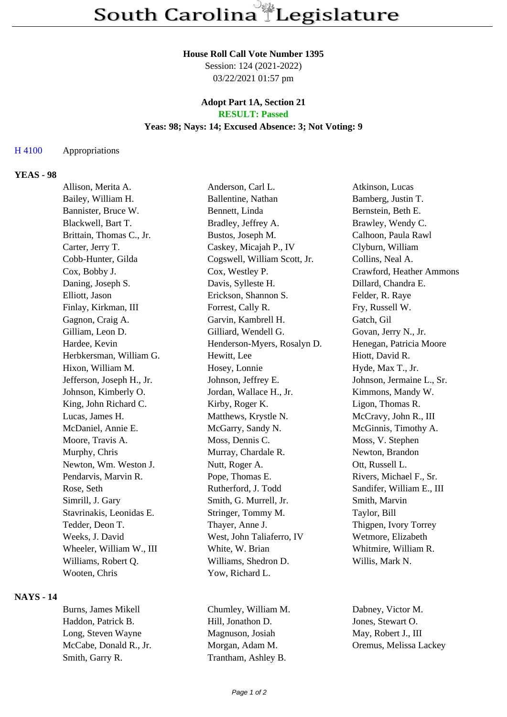#### **House Roll Call Vote Number 1395**

Session: 124 (2021-2022) 03/22/2021 01:57 pm

### **Adopt Part 1A, Section 21 RESULT: Passed**

### **Yeas: 98; Nays: 14; Excused Absence: 3; Not Voting: 9**

### H 4100 Appropriations

### **YEAS - 98**

| Allison, Merita A.        | Anderson, Carl L.            | Atkinson, Lucas           |
|---------------------------|------------------------------|---------------------------|
| Bailey, William H.        | Ballentine, Nathan           | Bamberg, Justin T.        |
| Bannister, Bruce W.       | Bennett, Linda               | Bernstein, Beth E.        |
| Blackwell, Bart T.        | Bradley, Jeffrey A.          | Brawley, Wendy C.         |
| Brittain, Thomas C., Jr.  | Bustos, Joseph M.            | Calhoon, Paula Rawl       |
| Carter, Jerry T.          | Caskey, Micajah P., IV       | Clyburn, William          |
| Cobb-Hunter, Gilda        | Cogswell, William Scott, Jr. | Collins, Neal A.          |
| Cox, Bobby J.             | Cox, Westley P.              | Crawford, Heather Ammons  |
| Daning, Joseph S.         | Davis, Sylleste H.           | Dillard, Chandra E.       |
| Elliott, Jason            | Erickson, Shannon S.         | Felder, R. Raye           |
| Finlay, Kirkman, III      | Forrest, Cally R.            | Fry, Russell W.           |
| Gagnon, Craig A.          | Garvin, Kambrell H.          | Gatch, Gil                |
| Gilliam, Leon D.          | Gilliard, Wendell G.         | Govan, Jerry N., Jr.      |
| Hardee, Kevin             | Henderson-Myers, Rosalyn D.  | Henegan, Patricia Moore   |
| Herbkersman, William G.   | Hewitt, Lee                  | Hiott, David R.           |
| Hixon, William M.         | Hosey, Lonnie                | Hyde, Max T., Jr.         |
| Jefferson, Joseph H., Jr. | Johnson, Jeffrey E.          | Johnson, Jermaine L., Sr. |
| Johnson, Kimberly O.      | Jordan, Wallace H., Jr.      | Kimmons, Mandy W.         |
| King, John Richard C.     | Kirby, Roger K.              | Ligon, Thomas R.          |
| Lucas, James H.           | Matthews, Krystle N.         | McCravy, John R., III     |
| McDaniel, Annie E.        | McGarry, Sandy N.            | McGinnis, Timothy A.      |
| Moore, Travis A.          | Moss, Dennis C.              | Moss, V. Stephen          |
| Murphy, Chris             | Murray, Chardale R.          | Newton, Brandon           |
| Newton, Wm. Weston J.     | Nutt, Roger A.               | Ott, Russell L.           |
| Pendarvis, Marvin R.      | Pope, Thomas E.              | Rivers, Michael F., Sr.   |
| Rose, Seth                | Rutherford, J. Todd          | Sandifer, William E., III |
| Simrill, J. Gary          | Smith, G. Murrell, Jr.       | Smith, Marvin             |
| Stavrinakis, Leonidas E.  | Stringer, Tommy M.           | Taylor, Bill              |
| Tedder, Deon T.           | Thayer, Anne J.              | Thigpen, Ivory Torrey     |
| Weeks, J. David           | West, John Taliaferro, IV    | Wetmore, Elizabeth        |
| Wheeler, William W., III  | White, W. Brian              | Whitmire, William R.      |
| Williams, Robert Q.       | Williams, Shedron D.         | Willis, Mark N.           |
| Wooten, Chris             | Yow, Richard L.              |                           |
|                           |                              |                           |

# **NAYS - 14**

Haddon, Patrick B. Hill, Jonathon D. Jones, Stewart O. Long, Steven Wayne Magnuson, Josiah May, Robert J., III McCabe, Donald R., Jr. Morgan, Adam M. Oremus, Melissa Lackey Smith, Garry R. Trantham, Ashley B.

Burns, James Mikell Chumley, William M. Dabney, Victor M.